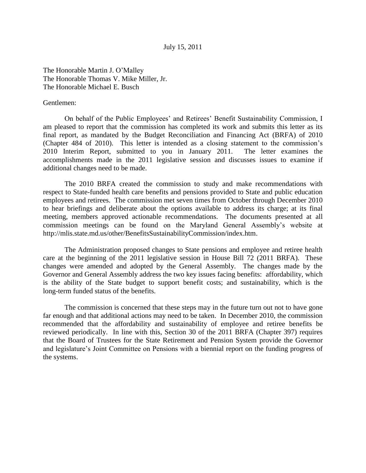July 15, 2011

The Honorable Martin J. O'Malley The Honorable Thomas V. Mike Miller, Jr. The Honorable Michael E. Busch

#### Gentlemen:

On behalf of the Public Employees' and Retirees' Benefit Sustainability Commission, I am pleased to report that the commission has completed its work and submits this letter as its final report, as mandated by the Budget Reconciliation and Financing Act (BRFA) of 2010 (Chapter 484 of 2010). This letter is intended as a closing statement to the commission's 2010 Interim Report, submitted to you in January 2011. The letter examines the accomplishments made in the 2011 legislative session and discusses issues to examine if additional changes need to be made.

The 2010 BRFA created the commission to study and make recommendations with respect to State-funded health care benefits and pensions provided to State and public education employees and retirees. The commission met seven times from October through December 2010 to hear briefings and deliberate about the options available to address its charge; at its final meeting, members approved actionable recommendations. The documents presented at all commission meetings can be found on the Maryland General Assembly's website at http://mlis.state.md.us/other/BenefitsSustainabilityCommission/index.htm.

The Administration proposed changes to State pensions and employee and retiree health care at the beginning of the 2011 legislative session in House Bill 72 (2011 BRFA). These changes were amended and adopted by the General Assembly. The changes made by the Governor and General Assembly address the two key issues facing benefits: affordability, which is the ability of the State budget to support benefit costs; and sustainability, which is the long-term funded status of the benefits.

The commission is concerned that these steps may in the future turn out not to have gone far enough and that additional actions may need to be taken. In December 2010, the commission recommended that the affordability and sustainability of employee and retiree benefits be reviewed periodically. In line with this, Section 30 of the 2011 BRFA (Chapter 397) requires that the Board of Trustees for the State Retirement and Pension System provide the Governor and legislature's Joint Committee on Pensions with a biennial report on the funding progress of the systems.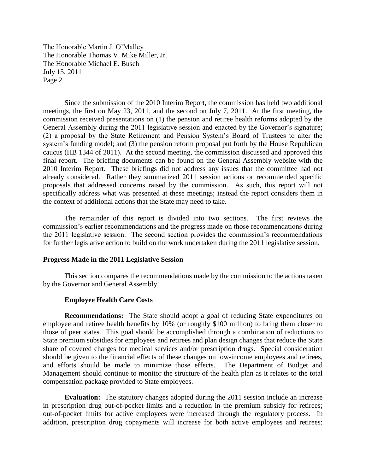Since the submission of the 2010 Interim Report, the commission has held two additional meetings, the first on May 23, 2011, and the second on July 7, 2011. At the first meeting, the commission received presentations on (1) the pension and retiree health reforms adopted by the General Assembly during the 2011 legislative session and enacted by the Governor's signature; (2) a proposal by the State Retirement and Pension System's Board of Trustees to alter the system's funding model; and (3) the pension reform proposal put forth by the House Republican caucus (HB 1344 of 2011). At the second meeting, the commission discussed and approved this final report. The briefing documents can be found on the General Assembly website with the 2010 Interim Report. These briefings did not address any issues that the committee had not already considered. Rather they summarized 2011 session actions or recommended specific proposals that addressed concerns raised by the commission. As such, this report will not specifically address what was presented at these meetings; instead the report considers them in the context of additional actions that the State may need to take.

The remainder of this report is divided into two sections. The first reviews the commission's earlier recommendations and the progress made on those recommendations during the 2011 legislative session. The second section provides the commission's recommendations for further legislative action to build on the work undertaken during the 2011 legislative session.

#### **Progress Made in the 2011 Legislative Session**

This section compares the recommendations made by the commission to the actions taken by the Governor and General Assembly.

## **Employee Health Care Costs**

**Recommendations:** The State should adopt a goal of reducing State expenditures on employee and retiree health benefits by 10% (or roughly \$100 million) to bring them closer to those of peer states. This goal should be accomplished through a combination of reductions to State premium subsidies for employees and retirees and plan design changes that reduce the State share of covered charges for medical services and/or prescription drugs. Special consideration should be given to the financial effects of these changes on low-income employees and retirees, and efforts should be made to minimize those effects. The Department of Budget and Management should continue to monitor the structure of the health plan as it relates to the total compensation package provided to State employees.

**Evaluation:** The statutory changes adopted during the 2011 session include an increase in prescription drug out-of-pocket limits and a reduction in the premium subsidy for retirees; out-of-pocket limits for active employees were increased through the regulatory process. In addition, prescription drug copayments will increase for both active employees and retirees;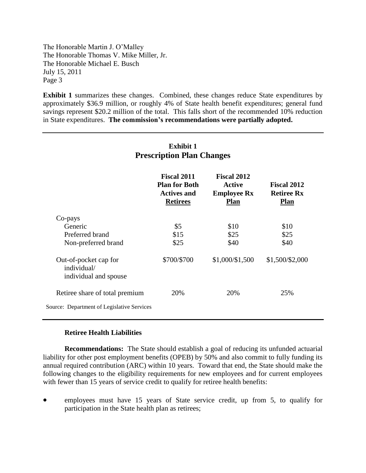**Exhibit 1** summarizes these changes. Combined, these changes reduce State expenditures by approximately \$36.9 million, or roughly 4% of State health benefit expenditures; general fund savings represent \$20.2 million of the total. This falls short of the recommended 10% reduction in State expenditures. **The commission's recommendations were partially adopted.**

| r rescription rian Unanges                                    |                                                                                     |                                                                          |                                                        |
|---------------------------------------------------------------|-------------------------------------------------------------------------------------|--------------------------------------------------------------------------|--------------------------------------------------------|
|                                                               | <b>Fiscal 2011</b><br><b>Plan for Both</b><br><b>Actives and</b><br><b>Retirees</b> | <b>Fiscal 2012</b><br><b>Active</b><br><b>Employee Rx</b><br><b>Plan</b> | <b>Fiscal 2012</b><br><b>Retiree Rx</b><br><b>Plan</b> |
| Co-pays                                                       |                                                                                     |                                                                          |                                                        |
| Generic                                                       | \$5                                                                                 | \$10                                                                     | \$10                                                   |
| Preferred brand                                               | \$15                                                                                | \$25                                                                     | \$25                                                   |
| Non-preferred brand                                           | \$25                                                                                | \$40                                                                     | \$40                                                   |
| Out-of-pocket cap for<br>individual/<br>individual and spouse | \$700/\$700                                                                         | \$1,000/\$1,500                                                          | \$1,500/\$2,000                                        |
| Retiree share of total premium                                | 20%                                                                                 | 20%                                                                      | 25%                                                    |
| Source: Department of Legislative Services                    |                                                                                     |                                                                          |                                                        |

# **Exhibit 1 Prescription Plan Changes**

## **Retiree Health Liabilities**

**Recommendations:** The State should establish a goal of reducing its unfunded actuarial liability for other post employment benefits (OPEB) by 50% and also commit to fully funding its annual required contribution (ARC) within 10 years. Toward that end, the State should make the following changes to the eligibility requirements for new employees and for current employees with fewer than 15 years of service credit to qualify for retiree health benefits:

 employees must have 15 years of State service credit, up from 5, to qualify for participation in the State health plan as retirees;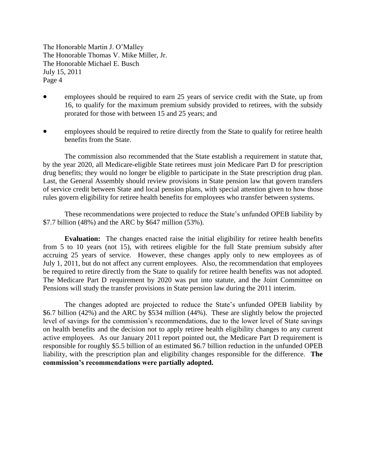- employees should be required to earn 25 years of service credit with the State, up from 16, to qualify for the maximum premium subsidy provided to retirees, with the subsidy prorated for those with between 15 and 25 years; and
- employees should be required to retire directly from the State to qualify for retiree health benefits from the State.

The commission also recommended that the State establish a requirement in statute that, by the year 2020, all Medicare-eligible State retirees must join Medicare Part D for prescription drug benefits; they would no longer be eligible to participate in the State prescription drug plan. Last, the General Assembly should review provisions in State pension law that govern transfers of service credit between State and local pension plans, with special attention given to how those rules govern eligibility for retiree health benefits for employees who transfer between systems.

These recommendations were projected to reduce the State's unfunded OPEB liability by \$7.7 billion (48%) and the ARC by \$647 million (53%).

**Evaluation:** The changes enacted raise the initial eligibility for retiree health benefits from 5 to 10 years (not 15), with retirees eligible for the full State premium subsidy after accruing 25 years of service. However, these changes apply only to new employees as of July 1, 2011, but do not affect any current employees. Also, the recommendation that employees be required to retire directly from the State to qualify for retiree health benefits was not adopted. The Medicare Part D requirement by 2020 was put into statute, and the Joint Committee on Pensions will study the transfer provisions in State pension law during the 2011 interim.

The changes adopted are projected to reduce the State's unfunded OPEB liability by \$6.7 billion (42%) and the ARC by \$534 million (44%). These are slightly below the projected level of savings for the commission's recommendations, due to the lower level of State savings on health benefits and the decision not to apply retiree health eligibility changes to any current active employees. As our January 2011 report pointed out, the Medicare Part D requirement is responsible for roughly \$5.5 billion of an estimated \$6.7 billion reduction in the unfunded OPEB liability, with the prescription plan and eligibility changes responsible for the difference. **The commission's recommendations were partially adopted.**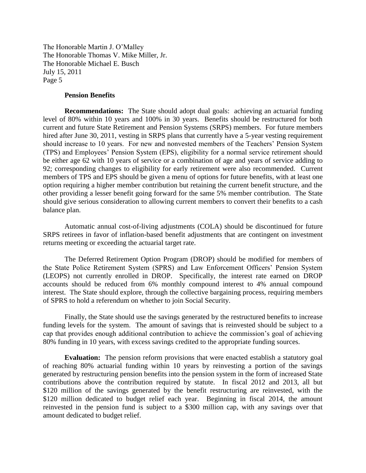#### **Pension Benefits**

**Recommendations:** The State should adopt dual goals: achieving an actuarial funding level of 80% within 10 years and 100% in 30 years. Benefits should be restructured for both current and future State Retirement and Pension Systems (SRPS) members. For future members hired after June 30, 2011, vesting in SRPS plans that currently have a 5-year vesting requirement should increase to 10 years. For new and nonvested members of the Teachers' Pension System (TPS) and Employees' Pension System (EPS), eligibility for a normal service retirement should be either age 62 with 10 years of service or a combination of age and years of service adding to 92; corresponding changes to eligibility for early retirement were also recommended. Current members of TPS and EPS should be given a menu of options for future benefits, with at least one option requiring a higher member contribution but retaining the current benefit structure, and the other providing a lesser benefit going forward for the same 5% member contribution. The State should give serious consideration to allowing current members to convert their benefits to a cash balance plan.

Automatic annual cost-of-living adjustments (COLA) should be discontinued for future SRPS retirees in favor of inflation-based benefit adjustments that are contingent on investment returns meeting or exceeding the actuarial target rate.

The Deferred Retirement Option Program (DROP) should be modified for members of the State Police Retirement System (SPRS) and Law Enforcement Officers' Pension System (LEOPS) not currently enrolled in DROP. Specifically, the interest rate earned on DROP accounts should be reduced from 6% monthly compound interest to 4% annual compound interest. The State should explore, through the collective bargaining process, requiring members of SPRS to hold a referendum on whether to join Social Security.

Finally, the State should use the savings generated by the restructured benefits to increase funding levels for the system. The amount of savings that is reinvested should be subject to a cap that provides enough additional contribution to achieve the commission's goal of achieving 80% funding in 10 years, with excess savings credited to the appropriate funding sources.

**Evaluation:** The pension reform provisions that were enacted establish a statutory goal of reaching 80% actuarial funding within 10 years by reinvesting a portion of the savings generated by restructuring pension benefits into the pension system in the form of increased State contributions above the contribution required by statute. In fiscal 2012 and 2013, all but \$120 million of the savings generated by the benefit restructuring are reinvested, with the \$120 million dedicated to budget relief each year. Beginning in fiscal 2014, the amount reinvested in the pension fund is subject to a \$300 million cap, with any savings over that amount dedicated to budget relief.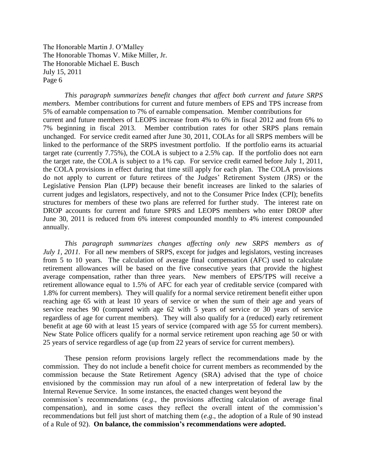*This paragraph summarizes benefit changes that affect both current and future SRPS members.* Member contributions for current and future members of EPS and TPS increase from 5% of earnable compensation to 7% of earnable compensation. Member contributions for current and future members of LEOPS increase from 4% to 6% in fiscal 2012 and from 6% to 7% beginning in fiscal 2013. Member contribution rates for other SRPS plans remain unchanged. For service credit earned after June 30, 2011, COLAs for all SRPS members will be linked to the performance of the SRPS investment portfolio. If the portfolio earns its actuarial target rate (currently 7.75%), the COLA is subject to a 2.5% cap. If the portfolio does not earn the target rate, the COLA is subject to a 1% cap. For service credit earned before July 1, 2011, the COLA provisions in effect during that time still apply for each plan. The COLA provisions do not apply to current or future retirees of the Judges' Retirement System (JRS) or the Legislative Pension Plan (LPP) because their benefit increases are linked to the salaries of current judges and legislators, respectively, and not to the Consumer Price Index (CPI); benefits structures for members of these two plans are referred for further study. The interest rate on DROP accounts for current and future SPRS and LEOPS members who enter DROP after June 30, 2011 is reduced from 6% interest compounded monthly to 4% interest compounded annually.

*This paragraph summarizes changes affecting only new SRPS members as of July 1, 2011.* For all new members of SRPS, except for judges and legislators, vesting increases from 5 to 10 years. The calculation of average final compensation (AFC) used to calculate retirement allowances will be based on the five consecutive years that provide the highest average compensation, rather than three years. New members of EPS/TPS will receive a retirement allowance equal to 1.5% of AFC for each year of creditable service (compared with 1.8% for current members). They will qualify for a normal service retirement benefit either upon reaching age 65 with at least 10 years of service or when the sum of their age and years of service reaches 90 (compared with age 62 with 5 years of service or 30 years of service regardless of age for current members). They will also qualify for a (reduced) early retirement benefit at age 60 with at least 15 years of service (compared with age 55 for current members). New State Police officers qualify for a normal service retirement upon reaching age 50 or with 25 years of service regardless of age (up from 22 years of service for current members).

These pension reform provisions largely reflect the recommendations made by the commission. They do not include a benefit choice for current members as recommended by the commission because the State Retirement Agency (SRA) advised that the type of choice envisioned by the commission may run afoul of a new interpretation of federal law by the Internal Revenue Service. In some instances, the enacted changes went beyond the commission's recommendations (*e.g*., the provisions affecting calculation of average final compensation), and in some cases they reflect the overall intent of the commission's recommendations but fell just short of matching them (*e.g*., the adoption of a Rule of 90 instead of a Rule of 92). **On balance, the commission's recommendations were adopted.**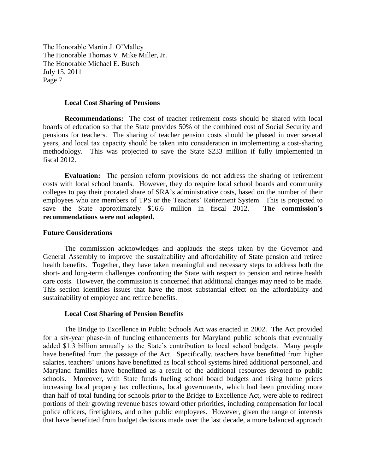#### **Local Cost Sharing of Pensions**

**Recommendations:** The cost of teacher retirement costs should be shared with local boards of education so that the State provides 50% of the combined cost of Social Security and pensions for teachers. The sharing of teacher pension costs should be phased in over several years, and local tax capacity should be taken into consideration in implementing a cost-sharing methodology. This was projected to save the State \$233 million if fully implemented in fiscal 2012.

**Evaluation:** The pension reform provisions do not address the sharing of retirement costs with local school boards. However, they do require local school boards and community colleges to pay their prorated share of SRA's administrative costs, based on the number of their employees who are members of TPS or the Teachers' Retirement System. This is projected to save the State approximately \$16.6 million in fiscal 2012. **The commission's recommendations were not adopted.**

## **Future Considerations**

The commission acknowledges and applauds the steps taken by the Governor and General Assembly to improve the sustainability and affordability of State pension and retiree health benefits. Together, they have taken meaningful and necessary steps to address both the short- and long-term challenges confronting the State with respect to pension and retiree health care costs. However, the commission is concerned that additional changes may need to be made. This section identifies issues that have the most substantial effect on the affordability and sustainability of employee and retiree benefits.

## **Local Cost Sharing of Pension Benefits**

The Bridge to Excellence in Public Schools Act was enacted in 2002. The Act provided for a six-year phase-in of funding enhancements for Maryland public schools that eventually added \$1.3 billion annually to the State's contribution to local school budgets. Many people have benefited from the passage of the Act. Specifically, teachers have benefitted from higher salaries, teachers' unions have benefitted as local school systems hired additional personnel, and Maryland families have benefitted as a result of the additional resources devoted to public schools. Moreover, with State funds fueling school board budgets and rising home prices increasing local property tax collections, local governments, which had been providing more than half of total funding for schools prior to the Bridge to Excellence Act, were able to redirect portions of their growing revenue bases toward other priorities, including compensation for local police officers, firefighters, and other public employees. However, given the range of interests that have benefitted from budget decisions made over the last decade, a more balanced approach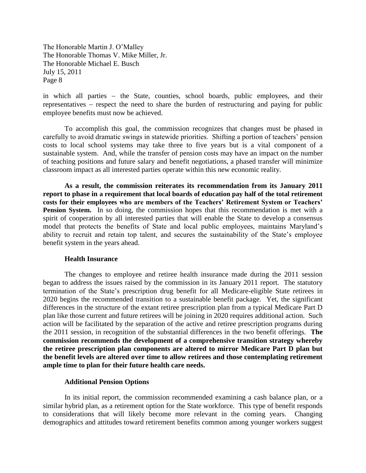in which all parties – the State, counties, school boards, public employees, and their representatives  $-$  respect the need to share the burden of restructuring and paying for public employee benefits must now be achieved.

To accomplish this goal, the commission recognizes that changes must be phased in carefully to avoid dramatic swings in statewide priorities. Shifting a portion of teachers' pension costs to local school systems may take three to five years but is a vital component of a sustainable system. And, while the transfer of pension costs may have an impact on the number of teaching positions and future salary and benefit negotiations, a phased transfer will minimize classroom impact as all interested parties operate within this new economic reality.

**As a result, the commission reiterates its recommendation from its January 2011 report to phase in a requirement that local boards of education pay half of the total retirement costs for their employees who are members of the Teachers' Retirement System or Teachers' Pension System.** In so doing, the commission hopes that this recommendation is met with a spirit of cooperation by all interested parties that will enable the State to develop a consensus model that protects the benefits of State and local public employees, maintains Maryland's ability to recruit and retain top talent, and secures the sustainability of the State's employee benefit system in the years ahead.

#### **Health Insurance**

The changes to employee and retiree health insurance made during the 2011 session began to address the issues raised by the commission in its January 2011 report. The statutory termination of the State's prescription drug benefit for all Medicare-eligible State retirees in 2020 begins the recommended transition to a sustainable benefit package. Yet, the significant differences in the structure of the extant retiree prescription plan from a typical Medicare Part D plan like those current and future retirees will be joining in 2020 requires additional action. Such action will be facilitated by the separation of the active and retiree prescription programs during the 2011 session, in recognition of the substantial differences in the two benefit offerings. **The commission recommends the development of a comprehensive transition strategy whereby the retiree prescription plan components are altered to mirror Medicare Part D plan but the benefit levels are altered over time to allow retirees and those contemplating retirement ample time to plan for their future health care needs.**

## **Additional Pension Options**

In its initial report, the commission recommended examining a cash balance plan, or a similar hybrid plan, as a retirement option for the State workforce. This type of benefit responds to considerations that will likely become more relevant in the coming years. Changing demographics and attitudes toward retirement benefits common among younger workers suggest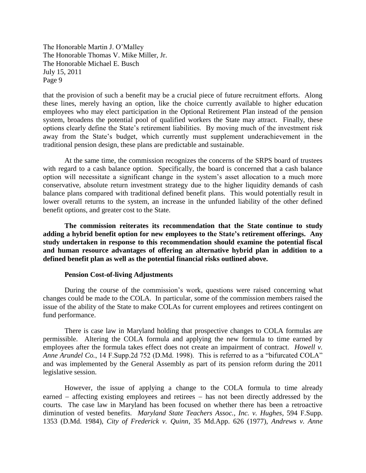that the provision of such a benefit may be a crucial piece of future recruitment efforts. Along these lines, merely having an option, like the choice currently available to higher education employees who may elect participation in the Optional Retirement Plan instead of the pension system, broadens the potential pool of qualified workers the State may attract. Finally, these options clearly define the State's retirement liabilities. By moving much of the investment risk away from the State's budget, which currently must supplement underachievement in the traditional pension design, these plans are predictable and sustainable.

At the same time, the commission recognizes the concerns of the SRPS board of trustees with regard to a cash balance option. Specifically, the board is concerned that a cash balance option will necessitate a significant change in the system's asset allocation to a much more conservative, absolute return investment strategy due to the higher liquidity demands of cash balance plans compared with traditional defined benefit plans. This would potentially result in lower overall returns to the system, an increase in the unfunded liability of the other defined benefit options, and greater cost to the State.

**The commission reiterates its recommendation that the State continue to study adding a hybrid benefit option for new employees to the State's retirement offerings. Any study undertaken in response to this recommendation should examine the potential fiscal and human resource advantages of offering an alternative hybrid plan in addition to a defined benefit plan as well as the potential financial risks outlined above.**

## **Pension Cost-of-living Adjustments**

During the course of the commission's work, questions were raised concerning what changes could be made to the COLA. In particular, some of the commission members raised the issue of the ability of the State to make COLAs for current employees and retirees contingent on fund performance.

There is case law in Maryland holding that prospective changes to COLA formulas are permissible. Altering the COLA formula and applying the new formula to time earned by employees after the formula takes effect does not create an impairment of contract. *Howell v. Anne Arundel Co.*, 14 F.Supp.2d 752 (D.Md. 1998). This is referred to as a "bifurcated COLA" and was implemented by the General Assembly as part of its pension reform during the 2011 legislative session.

However, the issue of applying a change to the COLA formula to time already earned  $-$  affecting existing employees and retirees  $-$  has not been directly addressed by the courts. The case law in Maryland has been focused on whether there has been a retroactive diminution of vested benefits. *Maryland State Teachers Assoc., Inc. v. Hughes*, 594 F.Supp. 1353 (D.Md. 1984), *City of Frederick v. Quinn*, 35 Md.App. 626 (1977), *Andrews v. Anne*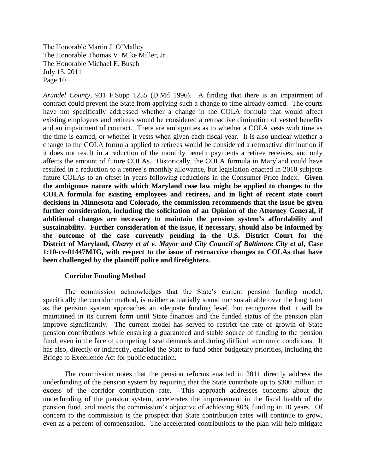*Arundel County*, 931 F.Supp 1255 (D.Md 1996). A finding that there is an impairment of contract could prevent the State from applying such a change to time already earned. The courts have not specifically addressed whether a change in the COLA formula that would affect existing employees and retirees would be considered a retroactive diminution of vested benefits and an impairment of contract. There are ambiguities as to whether a COLA vests with time as the time is earned, or whether it vests when given each fiscal year. It is also unclear whether a change to the COLA formula applied to retirees would be considered a retroactive diminution if it does not result in a reduction of the monthly benefit payments a retiree receives, and only affects the amount of future COLAs. Historically, the COLA formula in Maryland could have resulted in a reduction to a retiree's monthly allowance, but legislation enacted in 2010 subjects future COLAs to an offset in years following reductions in the Consumer Price Index. **Given the ambiguous nature with which Maryland case law might be applied to changes to the COLA formula for existing employees and retirees, and in light of recent state court decisions in Minnesota and Colorado, the commission recommends that the issue be given further consideration, including the solicitation of an Opinion of the Attorney General, if additional changes are necessary to maintain the pension system's affordability and sustainability. Further consideration of the issue, if necessary, should also be informed by the outcome of the case currently pending in the U.S. District Court for the District of Maryland,** *Cherry et al v. Mayor and City Council of Baltimore City et al***, Case 1:10-cv-01447MJG, with respect to the issue of retroactive changes to COLAs that have been challenged by the plaintiff police and firefighters.** 

## **Corridor Funding Method**

The commission acknowledges that the State's current pension funding model, specifically the corridor method, is neither actuarially sound nor sustainable over the long term as the pension system approaches an adequate funding level, but recognizes that it will be maintained in its current form until State finances and the funded status of the pension plan improve significantly. The current model has served to restrict the rate of growth of State pension contributions while ensuring a guaranteed and stable source of funding to the pension fund, even in the face of competing fiscal demands and during difficult economic conditions. It has also, directly or indirectly, enabled the State to fund other budgetary priorities, including the Bridge to Excellence Act for public education.

The commission notes that the pension reforms enacted in 2011 directly address the underfunding of the pension system by requiring that the State contribute up to \$300 million in excess of the corridor contribution rate. This approach addresses concerns about the underfunding of the pension system, accelerates the improvement in the fiscal health of the pension fund, and meets the commission's objective of achieving 80% funding in 10 years. Of concern to the commission is the prospect that State contribution rates will continue to grow, even as a percent of compensation. The accelerated contributions to the plan will help mitigate